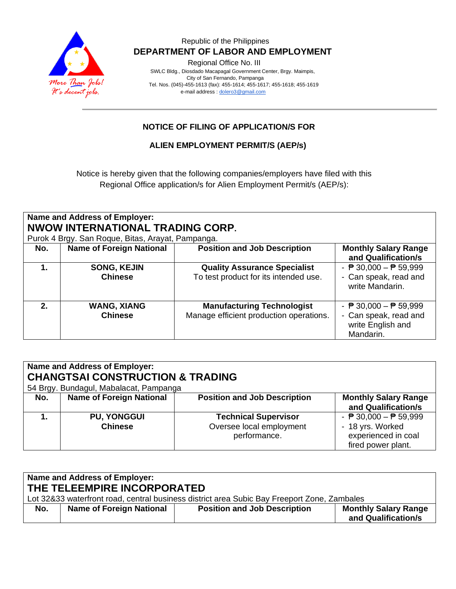

## Republic of the Philippines  **DEPARTMENT OF LABOR AND EMPLOYMENT**

Regional Office No. III

 SWLC Bldg., Diosdado Macapagal Government Center, Brgy. Maimpis, City of San Fernando, Pampanga Tel. Nos. (045)-455-1613 (fax): 455-1614; 455-1617; 455-1618; 455-1619 e-mail address [: dolero3@gmail.com](mailto:dolero3@gmail.com)

# **NOTICE OF FILING OF APPLICATION/S FOR**

**ALIEN EMPLOYMENT PERMIT/S (AEP/s)**

Notice is hereby given that the following companies/employers have filed with this Regional Office application/s for Alien Employment Permit/s (AEP/s):

#### **Name and Address of Employer: NWOW INTERNATIONAL TRADING CORP.** Purok 4 Brgy. San Roque, Bitas, Arayat, Pampanga.

|     | Purok 4 Bigy. San Roque, Bitas, Arayat, Pampanga. |                                         |                                                         |  |  |
|-----|---------------------------------------------------|-----------------------------------------|---------------------------------------------------------|--|--|
| No. | <b>Name of Foreign National</b>                   | <b>Position and Job Description</b>     | <b>Monthly Salary Range</b>                             |  |  |
|     |                                                   |                                         | and Qualification/s                                     |  |  |
|     | <b>SONG, KEJIN</b>                                | <b>Quality Assurance Specialist</b>     | - $\overline{P}$ 30,000 - $\overline{P}$ 59,999         |  |  |
|     | <b>Chinese</b>                                    | To test product for its intended use.   | - Can speak, read and<br>write Mandarin.                |  |  |
| 2.  | <b>WANG, XIANG</b>                                | <b>Manufacturing Technologist</b>       | - $\overline{P}$ 30,000 - $\overline{P}$ 59,999         |  |  |
|     | <b>Chinese</b>                                    | Manage efficient production operations. | - Can speak, read and<br>write English and<br>Mandarin. |  |  |

| Name and Address of Employer:<br><b>CHANGTSAI CONSTRUCTION &amp; TRADING</b><br>54 Brgy. Bundagul, Mabalacat, Pampanga |                                      |                                                                         |                                                                                                                  |
|------------------------------------------------------------------------------------------------------------------------|--------------------------------------|-------------------------------------------------------------------------|------------------------------------------------------------------------------------------------------------------|
| No.                                                                                                                    | <b>Name of Foreign National</b>      | <b>Position and Job Description</b>                                     | <b>Monthly Salary Range</b><br>and Qualification/s                                                               |
|                                                                                                                        | <b>PU, YONGGUI</b><br><b>Chinese</b> | <b>Technical Supervisor</b><br>Oversee local employment<br>performance. | - $\overline{P}$ 30,000 - $\overline{P}$ 59,999<br>- 18 yrs. Worked<br>experienced in coal<br>fired power plant. |

| Name and Address of Employer:<br>THE TELEEMPIRE INCORPORATED<br>Lot 32&33 waterfront road, central business district area Subic Bay Freeport Zone, Zambales |                                 |                                     |                                                    |  |
|-------------------------------------------------------------------------------------------------------------------------------------------------------------|---------------------------------|-------------------------------------|----------------------------------------------------|--|
| No.                                                                                                                                                         | <b>Name of Foreign National</b> | <b>Position and Job Description</b> | <b>Monthly Salary Range</b><br>and Qualification/s |  |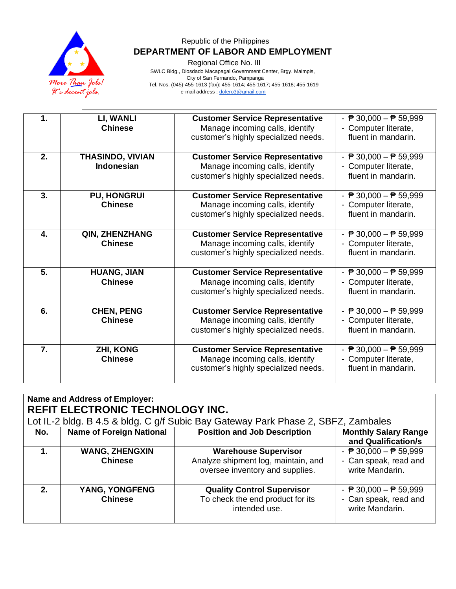

## Republic of the Philippines  **DEPARTMENT OF LABOR AND EMPLOYMENT**

Regional Office No. III

 SWLC Bldg., Diosdado Macapagal Government Center, Brgy. Maimpis, City of San Fernando, Pampanga Tel. Nos. (045)-455-1613 (fax): 455-1614; 455-1617; 455-1618; 455-1619 e-mail address [: dolero3@gmail.com](mailto:dolero3@gmail.com)

| 1.               | LI, WANLI<br><b>Chinese</b>                  | <b>Customer Service Representative</b><br>Manage incoming calls, identify<br>customer's highly specialized needs. | - $\overline{P}$ 30,000 - $\overline{P}$ 59,999<br>- Computer literate,<br>fluent in mandarin. |
|------------------|----------------------------------------------|-------------------------------------------------------------------------------------------------------------------|------------------------------------------------------------------------------------------------|
| 2.               | <b>THASINDO, VIVIAN</b><br><b>Indonesian</b> | <b>Customer Service Representative</b><br>Manage incoming calls, identify<br>customer's highly specialized needs. | - $\overline{P}$ 30,000 - $\overline{P}$ 59,999<br>- Computer literate,<br>fluent in mandarin. |
| 3.               | <b>PU, HONGRUI</b><br><b>Chinese</b>         | <b>Customer Service Representative</b><br>Manage incoming calls, identify<br>customer's highly specialized needs. | - $\overline{P}$ 30,000 - $\overline{P}$ 59,999<br>- Computer literate,<br>fluent in mandarin. |
| $\overline{4}$ . | QIN, ZHENZHANG<br><b>Chinese</b>             | <b>Customer Service Representative</b><br>Manage incoming calls, identify<br>customer's highly specialized needs. | - $\overline{P}$ 30,000 - $\overline{P}$ 59,999<br>- Computer literate,<br>fluent in mandarin. |
| 5.               | <b>HUANG, JIAN</b><br><b>Chinese</b>         | <b>Customer Service Representative</b><br>Manage incoming calls, identify<br>customer's highly specialized needs. | - $P$ 30,000 - $P$ 59,999<br>- Computer literate,<br>fluent in mandarin.                       |
| 6.               | <b>CHEN, PENG</b><br><b>Chinese</b>          | <b>Customer Service Representative</b><br>Manage incoming calls, identify<br>customer's highly specialized needs. | - $\overline{P}$ 30,000 - $\overline{P}$ 59,999<br>- Computer literate,<br>fluent in mandarin. |
| 7.               | <b>ZHI, KONG</b><br><b>Chinese</b>           | <b>Customer Service Representative</b><br>Manage incoming calls, identify<br>customer's highly specialized needs. | - $\overline{P}$ 30,000 - $\overline{P}$ 59,999<br>- Computer literate,<br>fluent in mandarin. |

| Name and Address of Employer:           |                                 |                                                                                   |                                                 |
|-----------------------------------------|---------------------------------|-----------------------------------------------------------------------------------|-------------------------------------------------|
| <b>REFIT ELECTRONIC TECHNOLOGY INC.</b> |                                 |                                                                                   |                                                 |
|                                         |                                 | Lot IL-2 bldg. B 4.5 & bldg. C g/f Subic Bay Gateway Park Phase 2, SBFZ, Zambales |                                                 |
| No.                                     | <b>Name of Foreign National</b> | <b>Position and Job Description</b>                                               | <b>Monthly Salary Range</b>                     |
|                                         |                                 |                                                                                   | and Qualification/s                             |
| $\mathbf 1$ .                           | <b>WANG, ZHENGXIN</b>           | <b>Warehouse Supervisor</b>                                                       | - $\overline{P}$ 30,000 - $\overline{P}$ 59,999 |
|                                         | <b>Chinese</b>                  | Analyze shipment log, maintain, and                                               | - Can speak, read and                           |
|                                         |                                 | oversee inventory and supplies.                                                   | write Mandarin.                                 |
|                                         |                                 |                                                                                   |                                                 |
| $2-$                                    | YANG, YONGFENG                  | <b>Quality Control Supervisor</b>                                                 | - $\overline{P}$ 30,000 - $\overline{P}$ 59,999 |
|                                         | <b>Chinese</b>                  | To check the end product for its                                                  | - Can speak, read and                           |
|                                         |                                 | intended use.                                                                     | write Mandarin.                                 |
|                                         |                                 |                                                                                   |                                                 |